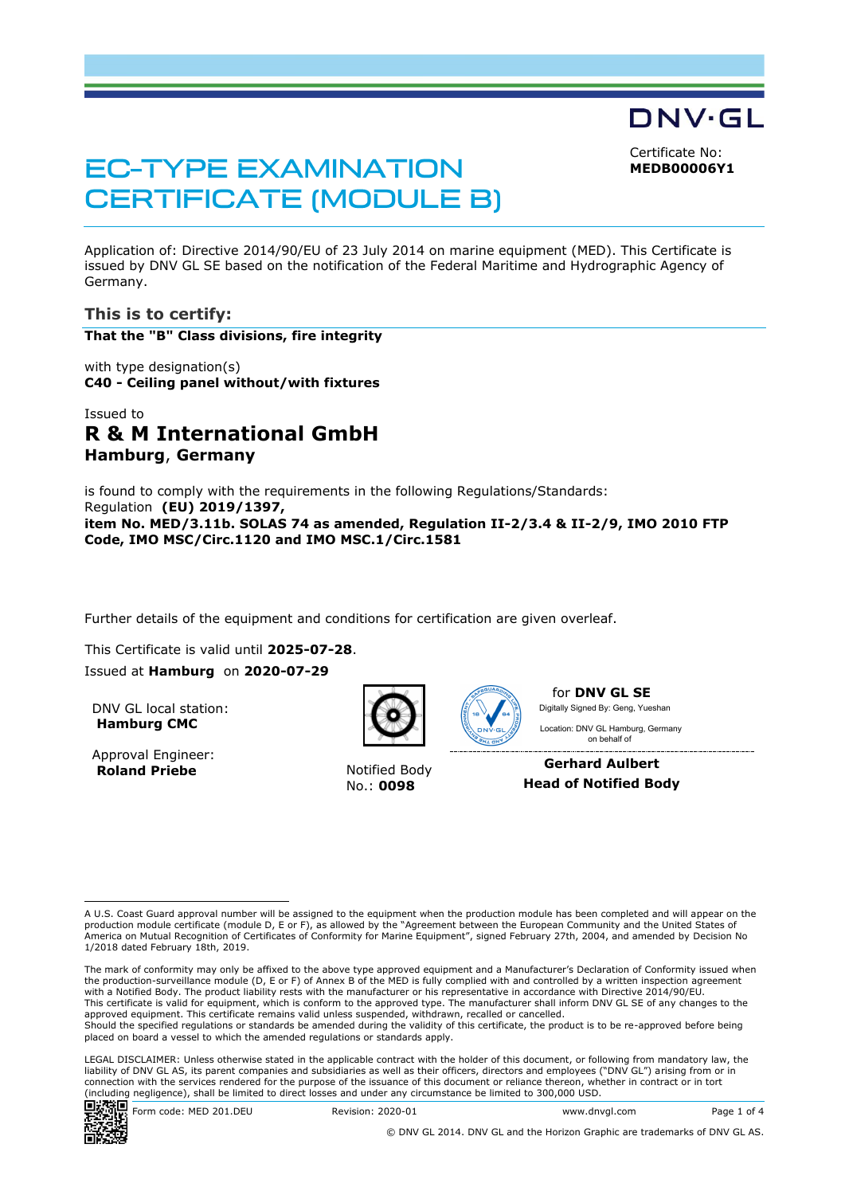Certificate No:

DNV·GL

**MEDB00006Y1**

# **EC-TYPE EXAMINATION CERTIFICATE (MODULE B)**

Application of: Directive 2014/90/EU of 23 July 2014 on marine equipment (MED). This Certificate is issued by DNV GL SE based on the notification of the Federal Maritime and Hydrographic Agency of Germany.

# **This is to certify:**

**That the "B" Class divisions, fire integrity**

with type designation(s) **C40 - Ceiling panel without/with fixtures**

# Issued to **R & M International GmbH Hamburg**, **Germany**

is found to comply with the requirements in the following Regulations/Standards: Regulation **(EU) 2019/1397, item No. MED/3.11b. SOLAS 74 as amended, Regulation II-2/3.4 & II-2/9, IMO 2010 FTP Code, IMO MSC/Circ.1120 and IMO MSC.1/Circ.1581**

Further details of the equipment and conditions for certification are given overleaf.

This Certificate is valid until **2025-07-28**.

Issued at **Hamburg** on **2020-07-29**

DNV GL local station: **Hamburg CMC**

Approval Engineer: **Roland Priebe** Notified Body



No.: **0098**



for **DNV GL SE** Digitally Signed By: Geng, Yueshan

 on behalf ofLocation: DNV GL Hamburg, Germany

**Gerhard Aulbert Head of Notified Body**

LEGAL DISCLAIMER: Unless otherwise stated in the applicable contract with the holder of this document, or following from mandatory law, the liability of DNV GL AS, its parent companies and subsidiaries as well as their officers, directors and employees ("DNV GL") arising from or in connection with the services rendered for the purpose of the issuance of this document or reliance thereon, whether in contract or in tort (including negligence), shall be limited to direct losses and under any circumstance be limited to 300,000 USD.



A U.S. Coast Guard approval number will be assigned to the equipment when the production module has been completed and will appear on the production module certificate (module D, E or F), as allowed by the "Agreement between the European Community and the United States of America on Mutual Recognition of Certificates of Conformity for Marine Equipment", signed February 27th, 2004, and amended by Decision No 1/2018 dated February 18th, 2019.

The mark of conformity may only be affixed to the above type approved equipment and a Manufacturer's Declaration of Conformity issued when<br>the production-surveillance module (D, E or F) of Annex B of the MED is fully compl with a Notified Body. The product liability rests with the manufacturer or his representative in accordance with Directive 2014/90/EU. This certificate is valid for equipment, which is conform to the approved type. The manufacturer shall inform DNV GL SE of any changes to the approved equipment. This certificate remains valid unless suspended, withdrawn, recalled or cancelled. Should the specified regulations or standards be amended during the validity of this certificate, the product is to be re-approved before being placed on board a vessel to which the amended regulations or standards apply.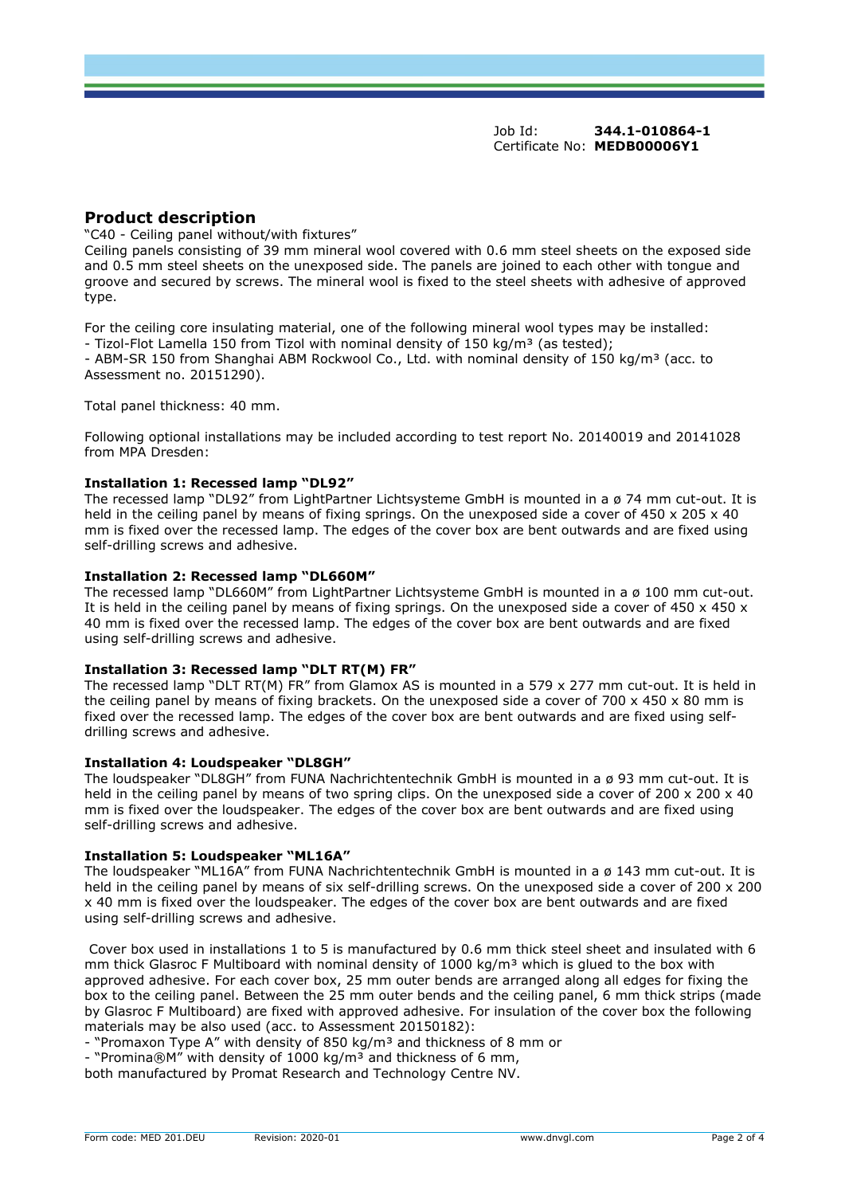Job Id: **344.1-010864-1** Certificate No: **MEDB00006Y1**

# **Product description**

"C40 - Ceiling panel without/with fixtures"

Ceiling panels consisting of 39 mm mineral wool covered with 0.6 mm steel sheets on the exposed side and 0.5 mm steel sheets on the unexposed side. The panels are joined to each other with tongue and groove and secured by screws. The mineral wool is fixed to the steel sheets with adhesive of approved type.

For the ceiling core insulating material, one of the following mineral wool types may be installed: - Tizol-Flot Lamella 150 from Tizol with nominal density of 150 kg/m<sup>3</sup> (as tested); - ABM-SR 150 from Shanghai ABM Rockwool Co., Ltd. with nominal density of 150 kg/m<sup>3</sup> (acc. to Assessment no. 20151290).

Total panel thickness: 40 mm.

Following optional installations may be included according to test report No. 20140019 and 20141028 from MPA Dresden:

#### **Installation 1: Recessed lamp "DL92"**

The recessed lamp "DL92" from LightPartner Lichtsysteme GmbH is mounted in a ø 74 mm cut-out. It is held in the ceiling panel by means of fixing springs. On the unexposed side a cover of 450 x 205 x 40 mm is fixed over the recessed lamp. The edges of the cover box are bent outwards and are fixed using self-drilling screws and adhesive.

#### **Installation 2: Recessed lamp "DL660M"**

The recessed lamp "DL660M" from LightPartner Lichtsysteme GmbH is mounted in a ø 100 mm cut-out. It is held in the ceiling panel by means of fixing springs. On the unexposed side a cover of 450 x 450 x 40 mm is fixed over the recessed lamp. The edges of the cover box are bent outwards and are fixed using self-drilling screws and adhesive.

#### **Installation 3: Recessed lamp "DLT RT(M) FR"**

The recessed lamp "DLT RT(M) FR" from Glamox AS is mounted in a 579 x 277 mm cut-out. It is held in the ceiling panel by means of fixing brackets. On the unexposed side a cover of  $700 \times 450 \times 80$  mm is fixed over the recessed lamp. The edges of the cover box are bent outwards and are fixed using selfdrilling screws and adhesive.

#### **Installation 4: Loudspeaker "DL8GH"**

The loudspeaker "DL8GH" from FUNA Nachrichtentechnik GmbH is mounted in a ø 93 mm cut-out. It is held in the ceiling panel by means of two spring clips. On the unexposed side a cover of 200 x 200 x 40 mm is fixed over the loudspeaker. The edges of the cover box are bent outwards and are fixed using self-drilling screws and adhesive.

#### **Installation 5: Loudspeaker "ML16A"**

The loudspeaker "ML16A" from FUNA Nachrichtentechnik GmbH is mounted in a ø 143 mm cut-out. It is held in the ceiling panel by means of six self-drilling screws. On the unexposed side a cover of 200 x 200 x 40 mm is fixed over the loudspeaker. The edges of the cover box are bent outwards and are fixed using self-drilling screws and adhesive.

Cover box used in installations 1 to 5 is manufactured by 0.6 mm thick steel sheet and insulated with 6 mm thick Glasroc F Multiboard with nominal density of  $1000 \text{ kg/m}^3$  which is glued to the box with approved adhesive. For each cover box, 25 mm outer bends are arranged along all edges for fixing the box to the ceiling panel. Between the 25 mm outer bends and the ceiling panel, 6 mm thick strips (made by Glasroc F Multiboard) are fixed with approved adhesive. For insulation of the cover box the following materials may be also used (acc. to Assessment 20150182):

- "Promaxon Type A" with density of 850 kg/m<sup>3</sup> and thickness of 8 mm or

- "Promina®M" with density of 1000 kg/m<sup>3</sup> and thickness of 6 mm,

both manufactured by Promat Research and Technology Centre NV.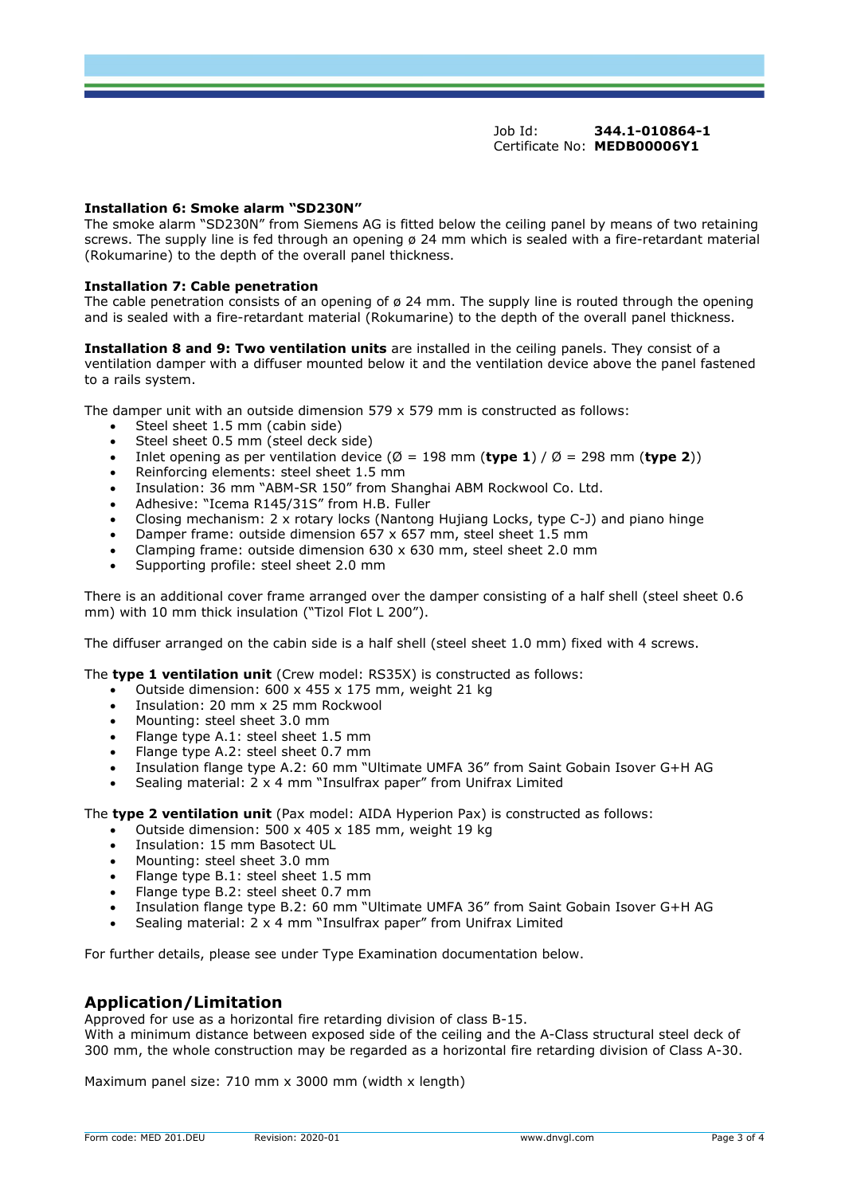#### Job Id: **344.1-010864-1** Certificate No: **MEDB00006Y1**

#### **Installation 6: Smoke alarm "SD230N"**

The smoke alarm "SD230N" from Siemens AG is fitted below the ceiling panel by means of two retaining screws. The supply line is fed through an opening ø 24 mm which is sealed with a fire-retardant material (Rokumarine) to the depth of the overall panel thickness.

#### **Installation 7: Cable penetration**

The cable penetration consists of an opening of ø 24 mm. The supply line is routed through the opening and is sealed with a fire-retardant material (Rokumarine) to the depth of the overall panel thickness.

**Installation 8 and 9: Two ventilation units** are installed in the ceiling panels. They consist of a ventilation damper with a diffuser mounted below it and the ventilation device above the panel fastened to a rails system.

The damper unit with an outside dimension 579 x 579 mm is constructed as follows:

- Steel sheet 1.5 mm (cabin side)
- Steel sheet 0.5 mm (steel deck side)
- Inlet opening as per ventilation device ( $\emptyset$  = 198 mm (type 1) /  $\emptyset$  = 298 mm (type 2))
- Reinforcing elements: steel sheet 1.5 mm
- Insulation: 36 mm "ABM-SR 150" from Shanghai ABM Rockwool Co. Ltd.
- Adhesive: "Icema R145/31S" from H.B. Fuller
- Closing mechanism: 2 x rotary locks (Nantong Hujiang Locks, type C-J) and piano hinge
- Damper frame: outside dimension 657 x 657 mm, steel sheet 1.5 mm
- Clamping frame: outside dimension 630 x 630 mm, steel sheet 2.0 mm
- Supporting profile: steel sheet 2.0 mm

There is an additional cover frame arranged over the damper consisting of a half shell (steel sheet 0.6 mm) with 10 mm thick insulation ("Tizol Flot L 200").

The diffuser arranged on the cabin side is a half shell (steel sheet 1.0 mm) fixed with 4 screws.

The **type 1 ventilation unit** (Crew model: RS35X) is constructed as follows:

- Outside dimension: 600 x 455 x 175 mm, weight 21 kg
- Insulation: 20 mm x 25 mm Rockwool
- Mounting: steel sheet 3.0 mm
- Flange type A.1: steel sheet 1.5 mm
- Flange type A.2: steel sheet 0.7 mm
- Insulation flange type A.2: 60 mm "Ultimate UMFA 36" from Saint Gobain Isover G+H AG
- Sealing material: 2 x 4 mm "Insulfrax paper" from Unifrax Limited

The **type 2 ventilation unit** (Pax model: AIDA Hyperion Pax) is constructed as follows:

- Outside dimension:  $500 \times 405 \times 185$  mm, weight 19 kg
- Insulation: 15 mm Basotect UL
- Mounting: steel sheet 3.0 mm
- Flange type B.1: steel sheet 1.5 mm
- Flange type B.2: steel sheet 0.7 mm
- Insulation flange type B.2: 60 mm "Ultimate UMFA 36" from Saint Gobain Isover G+H AG
- Sealing material: 2 x 4 mm "Insulfrax paper" from Unifrax Limited

For further details, please see under Type Examination documentation below.

### **Application/Limitation**

Approved for use as a horizontal fire retarding division of class B-15.

With a minimum distance between exposed side of the ceiling and the A-Class structural steel deck of 300 mm, the whole construction may be regarded as a horizontal fire retarding division of Class A-30.

Maximum panel size: 710 mm x 3000 mm (width x length)